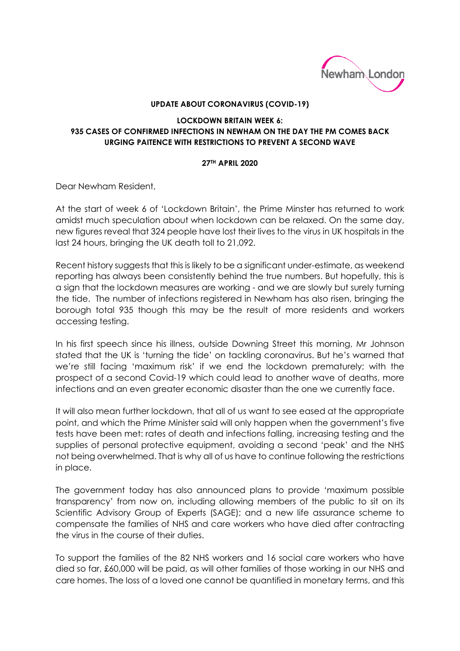

## **UPDATE ABOUT CORONAVIRUS (COVID-19)**

## **LOCKDOWN BRITAIN WEEK 6: 935 CASES OF CONFIRMED INFECTIONS IN NEWHAM ON THE DAY THE PM COMES BACK URGING PAITENCE WITH RESTRICTIONS TO PREVENT A SECOND WAVE**

## **27TH APRIL 2020**

Dear Newham Resident,

At the start of week 6 of 'Lockdown Britain', the Prime Minster has returned to work amidst much speculation about when lockdown can be relaxed. On the same day, new figures reveal that 324 people have lost their lives to the virus in UK hospitals in the last 24 hours, bringing the UK death toll to 21,092.

Recent history suggests that this is likely to be a significant under-estimate, as weekend reporting has always been consistently behind the true numbers. But hopefully, this is a sign that the lockdown measures are working - and we are slowly but surely turning the tide. The number of infections registered in Newham has also risen, bringing the borough total 935 though this may be the result of more residents and workers accessing testing.

In his first speech since his illness, outside Downing Street this morning, Mr Johnson stated that the UK is 'turning the tide' on tackling coronavirus. But he's warned that we're still facing 'maximum risk' if we end the lockdown prematurely; with the prospect of a second Covid-19 which could lead to another wave of deaths, more infections and an even greater economic disaster than the one we currently face.

It will also mean further lockdown, that all of us want to see eased at the appropriate point, and which the Prime Minister said will only happen when the government's five tests have been met: rates of death and infections falling, increasing testing and the supplies of personal protective equipment, avoiding a second 'peak' and the NHS not being overwhelmed. That is why all of us have to continue following the restrictions in place.

The government today has also announced plans to provide 'maximum possible transparency' from now on, including allowing members of the public to sit on its Scientific Advisory Group of Experts (SAGE); and a new life assurance scheme to compensate the families of NHS and care workers who have died after contracting the virus in the course of their duties.

To support the families of the 82 NHS workers and 16 social care workers who have died so far, £60,000 will be paid, as will other families of those working in our NHS and care homes. The loss of a loved one cannot be quantified in monetary terms, and this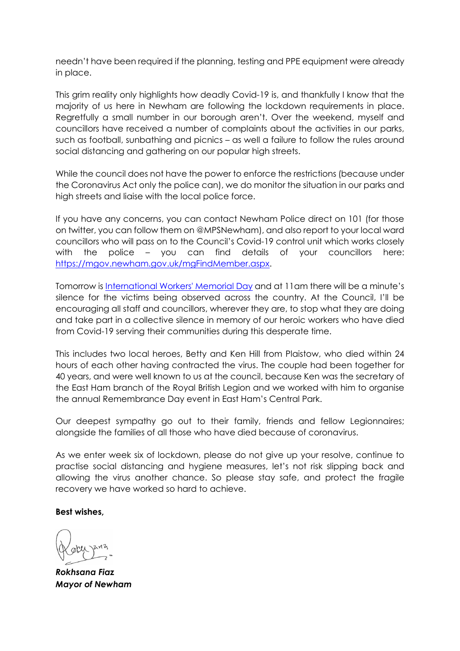needn't have been required if the planning, testing and PPE equipment were already in place.

This grim reality only highlights how deadly Covid-19 is, and thankfully I know that the majority of us here in Newham are following the lockdown requirements in place. Regretfully a small number in our borough aren't. Over the weekend, myself and councillors have received a number of complaints about the activities in our parks, such as football, sunbathing and picnics – as well a failure to follow the rules around social distancing and gathering on our popular high streets.

While the council does not have the power to enforce the restrictions (because under the Coronavirus Act only the police can), we do monitor the situation in our parks and high streets and liaise with the local police force.

If you have any concerns, you can contact Newham Police direct on 101 (for those on twitter, you can follow them on @MPSNewham), and also report to your local ward councillors who will pass on to the Council's Covid-19 control unit which works closely with the police – you can find details of your councillors here: [https://mgov.newham.gov.uk/mgFindMember.aspx.](https://mgov.newham.gov.uk/mgFindMember.aspx)

Tomorrow is [International Workers' Memorial Day](https://www.tuc.org.uk/international-workers-memorial-day-iwmd) and at 11am there will be a minute's silence for the victims being observed across the country. At the Council, I'll be encouraging all staff and councillors, wherever they are, to stop what they are doing and take part in a collective silence in memory of our heroic workers who have died from Covid-19 serving their communities during this desperate time.

This includes two local heroes, Betty and Ken Hill from Plaistow, who died within 24 hours of each other having contracted the virus. The couple had been together for 40 years, and were well known to us at the council, because Ken was the secretary of the East Ham branch of the Royal British Legion and we worked with him to organise the annual Remembrance Day event in East Ham's Central Park.

Our deepest sympathy go out to their family, friends and fellow Legionnaires; alongside the families of all those who have died because of coronavirus.

As we enter week six of lockdown, please do not give up your resolve, continue to practise social distancing and hygiene measures, let's not risk slipping back and allowing the virus another chance. So please stay safe, and protect the fragile recovery we have worked so hard to achieve.

## **Best wishes,**

*Rokhsana Fiaz Mayor of Newham*